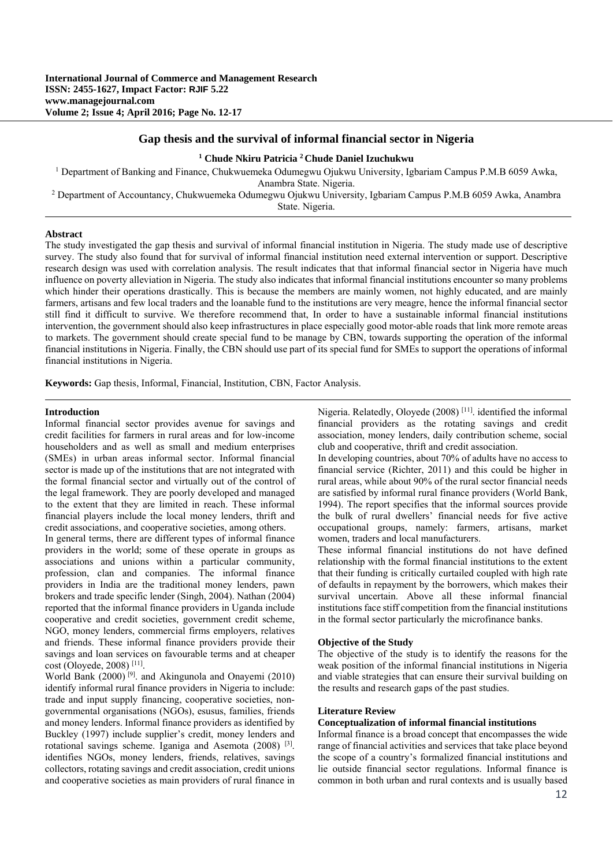# **Gap thesis and the survival of informal financial sector in Nigeria**

# **1 Chude Nkiru Patricia 2 Chude Daniel Izuchukwu**

<sup>1</sup> Department of Banking and Finance, Chukwuemeka Odumegwu Ojukwu University, Igbariam Campus P.M.B 6059 Awka,

Anambra State. Nigeria. 2 Department of Accountancy, Chukwuemeka Odumegwu Ojukwu University, Igbariam Campus P.M.B 6059 Awka, Anambra State. Nigeria.

## **Abstract**

The study investigated the gap thesis and survival of informal financial institution in Nigeria. The study made use of descriptive survey. The study also found that for survival of informal financial institution need external intervention or support. Descriptive research design was used with correlation analysis. The result indicates that that informal financial sector in Nigeria have much influence on poverty alleviation in Nigeria. The study also indicates that informal financial institutions encounter so many problems which hinder their operations drastically. This is because the members are mainly women, not highly educated, and are mainly farmers, artisans and few local traders and the loanable fund to the institutions are very meagre, hence the informal financial sector still find it difficult to survive. We therefore recommend that, In order to have a sustainable informal financial institutions intervention, the government should also keep infrastructures in place especially good motor-able roads that link more remote areas to markets. The government should create special fund to be manage by CBN, towards supporting the operation of the informal financial institutions in Nigeria. Finally, the CBN should use part of its special fund for SMEs to support the operations of informal financial institutions in Nigeria.

**Keywords:** Gap thesis, Informal, Financial, Institution, CBN, Factor Analysis.

#### **Introduction**

Informal financial sector provides avenue for savings and credit facilities for farmers in rural areas and for low-income householders and as well as small and medium enterprises (SMEs) in urban areas informal sector. Informal financial sector is made up of the institutions that are not integrated with the formal financial sector and virtually out of the control of the legal framework. They are poorly developed and managed to the extent that they are limited in reach. These informal financial players include the local money lenders, thrift and credit associations, and cooperative societies, among others.

In general terms, there are different types of informal finance providers in the world; some of these operate in groups as associations and unions within a particular community, profession, clan and companies. The informal finance providers in India are the traditional money lenders, pawn brokers and trade specific lender (Singh, 2004). Nathan (2004) reported that the informal finance providers in Uganda include cooperative and credit societies, government credit scheme, NGO, money lenders, commercial firms employers, relatives and friends. These informal finance providers provide their savings and loan services on favourable terms and at cheaper cost (Oloyede, 2008) [11].

World Bank (2000) [9]. and Akingunola and Onayemi (2010) identify informal rural finance providers in Nigeria to include: trade and input supply financing, cooperative societies, nongovernmental organisations (NGOs), esusus, families, friends and money lenders. Informal finance providers as identified by Buckley (1997) include supplier's credit, money lenders and rotational savings scheme. Iganiga and Asemota (2008) [3]. identifies NGOs, money lenders, friends, relatives, savings collectors, rotating savings and credit association, credit unions and cooperative societies as main providers of rural finance in Nigeria. Relatedly, Oloyede (2008) [11]. identified the informal financial providers as the rotating savings and credit association, money lenders, daily contribution scheme, social club and cooperative, thrift and credit association.

In developing countries, about 70% of adults have no access to financial service (Richter, 2011) and this could be higher in rural areas, while about 90% of the rural sector financial needs are satisfied by informal rural finance providers (World Bank, 1994). The report specifies that the informal sources provide the bulk of rural dwellers' financial needs for five active occupational groups, namely: farmers, artisans, market women, traders and local manufacturers.

These informal financial institutions do not have defined relationship with the formal financial institutions to the extent that their funding is critically curtailed coupled with high rate of defaults in repayment by the borrowers, which makes their survival uncertain. Above all these informal financial institutions face stiff competition from the financial institutions in the formal sector particularly the microfinance banks.

## **Objective of the Study**

The objective of the study is to identify the reasons for the weak position of the informal financial institutions in Nigeria and viable strategies that can ensure their survival building on the results and research gaps of the past studies.

### **Literature Review**

# **Conceptualization of informal financial institutions**

Informal finance is a broad concept that encompasses the wide range of financial activities and services that take place beyond the scope of a country's formalized financial institutions and lie outside financial sector regulations. Informal finance is common in both urban and rural contexts and is usually based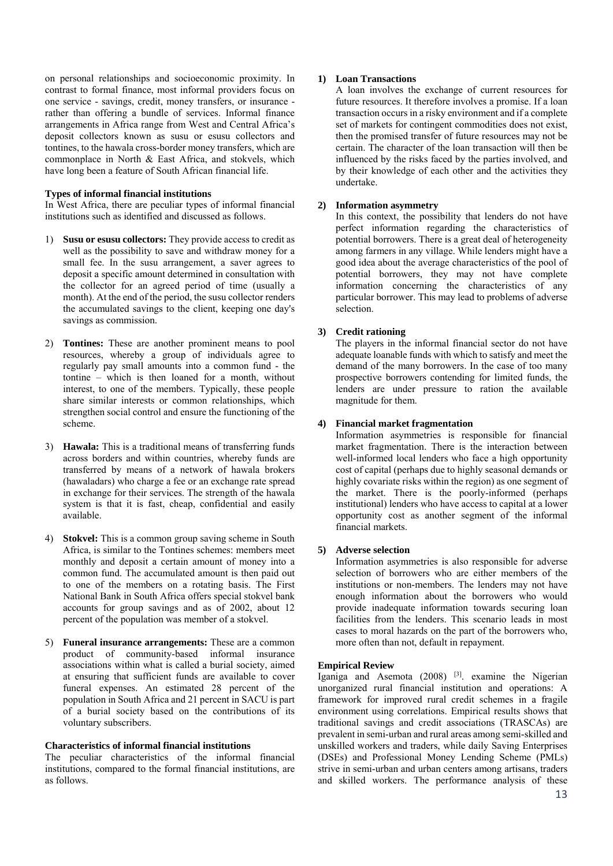on personal relationships and socioeconomic proximity. In contrast to formal finance, most informal providers focus on one service - savings, credit, money transfers, or insurance rather than offering a bundle of services. Informal finance arrangements in Africa range from West and Central Africa's deposit collectors known as susu or esusu collectors and tontines, to the hawala cross-border money transfers, which are commonplace in North & East Africa, and stokvels, which have long been a feature of South African financial life.

# **Types of informal financial institutions**

In West Africa, there are peculiar types of informal financial institutions such as identified and discussed as follows.

- 1) **Susu or esusu collectors:** They provide access to credit as well as the possibility to save and withdraw money for a small fee. In the susu arrangement, a saver agrees to deposit a specific amount determined in consultation with the collector for an agreed period of time (usually a month). At the end of the period, the susu collector renders the accumulated savings to the client, keeping one day's savings as commission.
- 2) **Tontines:** These are another prominent means to pool resources, whereby a group of individuals agree to regularly pay small amounts into a common fund - the tontine – which is then loaned for a month, without interest, to one of the members. Typically, these people share similar interests or common relationships, which strengthen social control and ensure the functioning of the scheme.
- 3) **Hawala:** This is a traditional means of transferring funds across borders and within countries, whereby funds are transferred by means of a network of hawala brokers (hawaladars) who charge a fee or an exchange rate spread in exchange for their services. The strength of the hawala system is that it is fast, cheap, confidential and easily available.
- 4) **Stokvel:** This is a common group saving scheme in South Africa, is similar to the Tontines schemes: members meet monthly and deposit a certain amount of money into a common fund. The accumulated amount is then paid out to one of the members on a rotating basis. The First National Bank in South Africa offers special stokvel bank accounts for group savings and as of 2002, about 12 percent of the population was member of a stokvel.
- 5) **Funeral insurance arrangements:** These are a common product of community-based informal insurance associations within what is called a burial society, aimed at ensuring that sufficient funds are available to cover funeral expenses. An estimated 28 percent of the population in South Africa and 21 percent in SACU is part of a burial society based on the contributions of its voluntary subscribers.

#### **Characteristics of informal financial institutions**

The peculiar characteristics of the informal financial institutions, compared to the formal financial institutions, are as follows.

## **1) Loan Transactions**

A loan involves the exchange of current resources for future resources. It therefore involves a promise. If a loan transaction occurs in a risky environment and if a complete set of markets for contingent commodities does not exist, then the promised transfer of future resources may not be certain. The character of the loan transaction will then be influenced by the risks faced by the parties involved, and by their knowledge of each other and the activities they undertake.

## **2) Information asymmetry**

In this context, the possibility that lenders do not have perfect information regarding the characteristics of potential borrowers. There is a great deal of heterogeneity among farmers in any village. While lenders might have a good idea about the average characteristics of the pool of potential borrowers, they may not have complete information concerning the characteristics of any particular borrower. This may lead to problems of adverse selection.

## **3) Credit rationing**

The players in the informal financial sector do not have adequate loanable funds with which to satisfy and meet the demand of the many borrowers. In the case of too many prospective borrowers contending for limited funds, the lenders are under pressure to ration the available magnitude for them.

## **4) Financial market fragmentation**

Information asymmetries is responsible for financial market fragmentation. There is the interaction between well-informed local lenders who face a high opportunity cost of capital (perhaps due to highly seasonal demands or highly covariate risks within the region) as one segment of the market. There is the poorly-informed (perhaps institutional) lenders who have access to capital at a lower opportunity cost as another segment of the informal financial markets.

## **5) Adverse selection**

Information asymmetries is also responsible for adverse selection of borrowers who are either members of the institutions or non-members. The lenders may not have enough information about the borrowers who would provide inadequate information towards securing loan facilities from the lenders. This scenario leads in most cases to moral hazards on the part of the borrowers who, more often than not, default in repayment.

#### **Empirical Review**

Iganiga and Asemota (2008) [3]. examine the Nigerian unorganized rural financial institution and operations: A framework for improved rural credit schemes in a fragile environment using correlations. Empirical results shows that traditional savings and credit associations (TRASCAs) are prevalent in semi-urban and rural areas among semi-skilled and unskilled workers and traders, while daily Saving Enterprises (DSEs) and Professional Money Lending Scheme (PMLs) strive in semi-urban and urban centers among artisans, traders and skilled workers. The performance analysis of these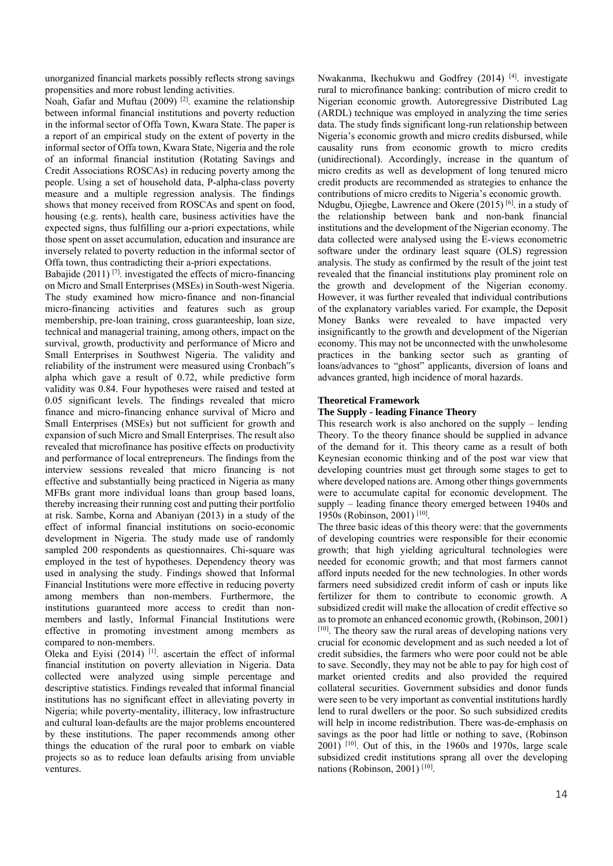unorganized financial markets possibly reflects strong savings propensities and more robust lending activities.

Noah, Gafar and Muftau (2009) [2]. examine the relationship between informal financial institutions and poverty reduction in the informal sector of Offa Town, Kwara State. The paper is a report of an empirical study on the extent of poverty in the informal sector of Offa town, Kwara State, Nigeria and the role of an informal financial institution (Rotating Savings and Credit Associations ROSCAs) in reducing poverty among the people. Using a set of household data, P-alpha-class poverty measure and a multiple regression analysis. The findings shows that money received from ROSCAs and spent on food, housing (e.g. rents), health care, business activities have the expected signs, thus fulfilling our a-priori expectations, while those spent on asset accumulation, education and insurance are inversely related to poverty reduction in the informal sector of Offa town, thus contradicting their a-priori expectations.

Babajide (2011)<sup>[7]</sup>. investigated the effects of micro-financing on Micro and Small Enterprises (MSEs) in South-west Nigeria. The study examined how micro-finance and non-financial micro-financing activities and features such as group membership, pre-loan training, cross guaranteeship, loan size, technical and managerial training, among others, impact on the survival, growth, productivity and performance of Micro and Small Enterprises in Southwest Nigeria. The validity and reliability of the instrument were measured using Cronbach"s alpha which gave a result of 0.72, while predictive form validity was 0.84. Four hypotheses were raised and tested at 0.05 significant levels. The findings revealed that micro finance and micro-financing enhance survival of Micro and Small Enterprises (MSEs) but not sufficient for growth and expansion of such Micro and Small Enterprises. The result also revealed that microfinance has positive effects on productivity and performance of local entrepreneurs. The findings from the interview sessions revealed that micro financing is not effective and substantially being practiced in Nigeria as many MFBs grant more individual loans than group based loans, thereby increasing their running cost and putting their portfolio at risk. Sambe, Korna and Abaniyan (2013) in a study of the effect of informal financial institutions on socio-economic development in Nigeria. The study made use of randomly sampled 200 respondents as questionnaires. Chi-square was employed in the test of hypotheses. Dependency theory was used in analysing the study. Findings showed that Informal Financial Institutions were more effective in reducing poverty among members than non-members. Furthermore, the institutions guaranteed more access to credit than nonmembers and lastly, Informal Financial Institutions were effective in promoting investment among members as compared to non-members.

Oleka and Eyisi (2014) [1]. ascertain the effect of informal financial institution on poverty alleviation in Nigeria. Data collected were analyzed using simple percentage and descriptive statistics. Findings revealed that informal financial institutions has no significant effect in alleviating poverty in Nigeria; while poverty-mentality, illiteracy, low infrastructure and cultural loan-defaults are the major problems encountered by these institutions. The paper recommends among other things the education of the rural poor to embark on viable projects so as to reduce loan defaults arising from unviable ventures.

Nwakanma, Ikechukwu and Godfrey (2014) [4]. investigate rural to microfinance banking: contribution of micro credit to Nigerian economic growth. Autoregressive Distributed Lag (ARDL) technique was employed in analyzing the time series data. The study finds significant long-run relationship between Nigeria's economic growth and micro credits disbursed, while causality runs from economic growth to micro credits (unidirectional). Accordingly, increase in the quantum of micro credits as well as development of long tenured micro credit products are recommended as strategies to enhance the contributions of micro credits to Nigeria's economic growth. Ndugbu, Ojiegbe, Lawrence and Okere (2015) [6]. in a study of the relationship between bank and non-bank financial institutions and the development of the Nigerian economy. The data collected were analysed using the E-views econometric software under the ordinary least square (OLS) regression analysis. The study as confirmed by the result of the joint test revealed that the financial institutions play prominent role on the growth and development of the Nigerian economy. However, it was further revealed that individual contributions of the explanatory variables varied. For example, the Deposit Money Banks were revealed to have impacted very insignificantly to the growth and development of the Nigerian economy. This may not be unconnected with the unwholesome practices in the banking sector such as granting of loans/advances to "ghost" applicants, diversion of loans and advances granted, high incidence of moral hazards.

# **Theoretical Framework**

## **The Supply - leading Finance Theory**

This research work is also anchored on the supply – lending Theory. To the theory finance should be supplied in advance of the demand for it. This theory came as a result of both Keynesian economic thinking and of the post war view that developing countries must get through some stages to get to where developed nations are. Among other things governments were to accumulate capital for economic development. The supply – leading finance theory emerged between 1940s and 1950s (Robinson, 2001) [10].

The three basic ideas of this theory were: that the governments of developing countries were responsible for their economic growth; that high yielding agricultural technologies were needed for economic growth; and that most farmers cannot afford inputs needed for the new technologies. In other words farmers need subsidized credit inform of cash or inputs like fertilizer for them to contribute to economic growth. A subsidized credit will make the allocation of credit effective so as to promote an enhanced economic growth, (Robinson, 2001) [10]. The theory saw the rural areas of developing nations very crucial for economic development and as such needed a lot of credit subsidies, the farmers who were poor could not be able to save. Secondly, they may not be able to pay for high cost of market oriented credits and also provided the required collateral securities. Government subsidies and donor funds were seen to be very important as convential institutions hardly lend to rural dwellers or the poor. So such subsidized credits will help in income redistribution. There was-de-emphasis on savings as the poor had little or nothing to save, (Robinson  $2001$ )  $[10]$ . Out of this, in the 1960s and 1970s, large scale subsidized credit institutions sprang all over the developing nations (Robinson, 2001) [10].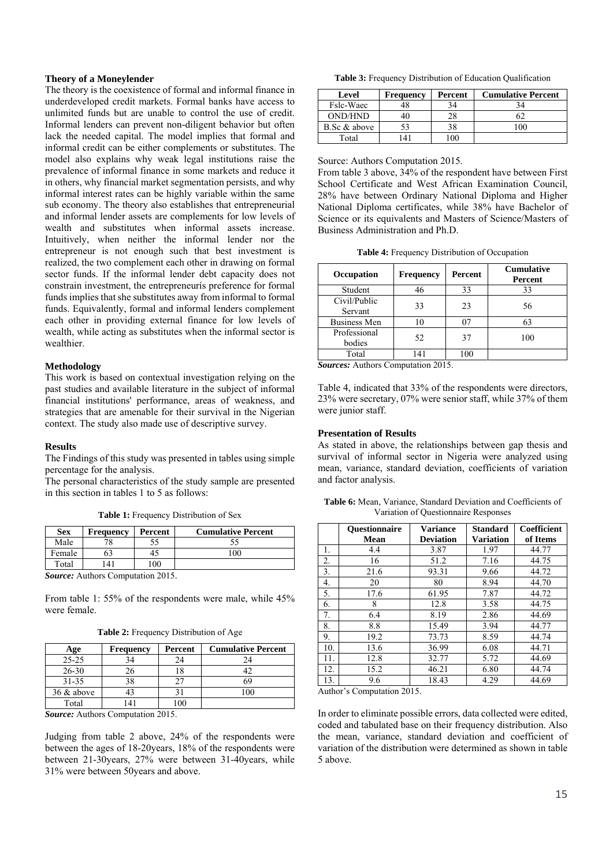## **Theory of a Moneylender**

The theory is the coexistence of formal and informal finance in underdeveloped credit markets. Formal banks have access to unlimited funds but are unable to control the use of credit. Informal lenders can prevent non-diligent behavior but often lack the needed capital. The model implies that formal and informal credit can be either complements or substitutes. The model also explains why weak legal institutions raise the prevalence of informal finance in some markets and reduce it in others, why financial market segmentation persists, and why informal interest rates can be highly variable within the same sub economy. The theory also establishes that entrepreneurial and informal lender assets are complements for low levels of wealth and substitutes when informal assets increase. Intuitively, when neither the informal lender nor the entrepreneur is not enough such that best investment is realized, the two complement each other in drawing on formal sector funds. If the informal lender debt capacity does not constrain investment, the entrepreneurís preference for formal funds implies that she substitutes away from informal to formal funds. Equivalently, formal and informal lenders complement each other in providing external finance for low levels of wealth, while acting as substitutes when the informal sector is wealthier.

#### **Methodology**

This work is based on contextual investigation relying on the past studies and available literature in the subject of informal financial institutions' performance, areas of weakness, and strategies that are amenable for their survival in the Nigerian context. The study also made use of descriptive survey.

#### **Results**

The Findings of this study was presented in tables using simple percentage for the analysis.

The personal characteristics of the study sample are presented in this section in tables 1 to 5 as follows:

**Table 1:** Frequency Distribution of Sex

| <b>Sex</b> | <b>Frequency</b> | Percent        | <b>Cumulative Percent</b> |
|------------|------------------|----------------|---------------------------|
| Male       |                  |                |                           |
| Female     |                  | 43             |                           |
| Total      |                  | 0 <sup>0</sup> |                           |

*Source:* Authors Computation 2015.

From table 1: 55% of the respondents were male, while 45% were female.

**Table 2:** Frequency Distribution of Age

| Age           | <b>Frequency</b> | Percent | <b>Cumulative Percent</b> |
|---------------|------------------|---------|---------------------------|
| $25 - 25$     |                  | 24      | 24                        |
| $26 - 30$     |                  |         |                           |
| 31-35         |                  |         | 69                        |
| $36 \&$ above |                  |         |                           |
| Total         |                  | 100     |                           |

*Source:* Authors Computation 2015.

Judging from table 2 above, 24% of the respondents were between the ages of 18-20years, 18% of the respondents were between 21-30years, 27% were between 31-40years, while 31% were between 50years and above.

**Table 3:** Frequency Distribution of Education Qualification

| Level          | <b>Frequency</b> | Percent | <b>Cumulative Percent</b> |
|----------------|------------------|---------|---------------------------|
| Fslc-Waec      | 48               | 34      | 34                        |
| <b>OND/HND</b> | 40               | 28      |                           |
| B.Sc & above   | 53               | 38      | 100                       |
| Total          | 41               | 100     |                           |

Source: Authors Computation 2015.

From table 3 above, 34% of the respondent have between First School Certificate and West African Examination Council, 28% have between Ordinary National Diploma and Higher National Diploma certificates, while 38% have Bachelor of Science or its equivalents and Masters of Science/Masters of Business Administration and Ph.D.

|  |  |  | Table 4: Frequency Distribution of Occupation |
|--|--|--|-----------------------------------------------|
|--|--|--|-----------------------------------------------|

| Occupation                       | <b>Frequency</b> | Percent | <b>Cumulative</b><br>Percent |  |  |  |
|----------------------------------|------------------|---------|------------------------------|--|--|--|
| Student                          | 46               | 33      | 33                           |  |  |  |
| Civil/Public<br>Servant          | 33               | 23      | 56                           |  |  |  |
| <b>Business Men</b>              | 10               | 07      | 63                           |  |  |  |
| Professional<br>bodies           | 52               | 37      | 100                          |  |  |  |
| Total                            | 141              | 100     |                              |  |  |  |
| Courses Authors Computation 2015 |                  |         |                              |  |  |  |

*Sources:* Authors Computation 2015.

Table 4, indicated that 33% of the respondents were directors, 23% were secretary, 07% were senior staff, while 37% of them were junior staff.

# **Presentation of Results**

As stated in above, the relationships between gap thesis and survival of informal sector in Nigeria were analyzed using mean, variance, standard deviation, coefficients of variation and factor analysis.

**Table 6:** Mean, Variance, Standard Deviation and Coefficients of Variation of Questionnaire Responses

|     | <b>Questionnaire</b> | <b>Variance</b>  | <b>Standard</b> | Coefficient |
|-----|----------------------|------------------|-----------------|-------------|
|     | <b>Mean</b>          | <b>Deviation</b> | Variation       | of Items    |
| 1.  | 4.4                  | 3.87             | 1.97            | 44.77       |
| 2.  | 16                   | 51.2             | 7.16            | 44.75       |
| 3.  | 21.6                 | 93.31            | 9.66            | 44.72       |
| 4.  | 20                   | 80               | 8.94            | 44.70       |
| 5.  | 17.6                 | 61.95            | 7.87            | 44.72       |
| 6.  | 8                    | 12.8             | 3.58            | 44.75       |
| 7.  | 6.4                  | 8.19             | 2.86            | 44.69       |
| 8.  | 8.8                  | 15.49            | 3.94            | 44.77       |
| 9.  | 19.2                 | 73.73            | 8.59            | 44.74       |
| 10. | 13.6                 | 36.99            | 6.08            | 44.71       |
| 11. | 12.8                 | 32.77            | 5.72            | 44.69       |
| 12. | 15.2                 | 46.21            | 6.80            | 44.74       |
| 13. | 9.6                  | 18.43            | 4.29            | 44.69       |

Author's Computation 2015.

In order to eliminate possible errors, data collected were edited, coded and tabulated base on their frequency distribution. Also the mean, variance, standard deviation and coefficient of variation of the distribution were determined as shown in table 5 above.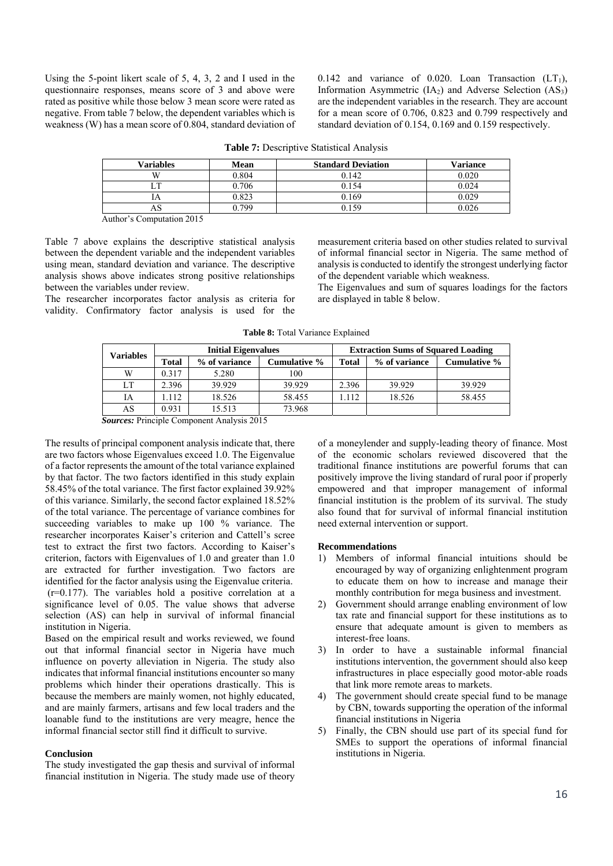Using the 5-point likert scale of 5, 4, 3, 2 and I used in the questionnaire responses, means score of 3 and above were rated as positive while those below 3 mean score were rated as negative. From table 7 below, the dependent variables which is weakness (W) has a mean score of 0.804, standard deviation of 0.142 and variance of 0.020. Loan Transaction  $(LT_1)$ , Information Asymmetric  $(IA<sub>2</sub>)$  and Adverse Selection  $(AS<sub>3</sub>)$ are the independent variables in the research. They are account for a mean score of 0.706, 0.823 and 0.799 respectively and standard deviation of 0.154, 0.169 and 0.159 respectively.

| <b>Variables</b>                                                                       | <b>Mean</b> | <b>Standard Deviation</b> | <b>Variance</b> |  |  |  |
|----------------------------------------------------------------------------------------|-------------|---------------------------|-----------------|--|--|--|
| W                                                                                      | 0.804       | 0.142                     | 0.020           |  |  |  |
| m                                                                                      | 0.706       | 0.154                     | 0.024           |  |  |  |
|                                                                                        | 0.823       | 0.169                     | 0.029           |  |  |  |
| AO                                                                                     | 799         | 0 159                     | 0.026           |  |  |  |
| the contract of the contract of the<br>the contract of the contract of the contract of |             |                           |                 |  |  |  |

**Table 7:** Descriptive Statistical Analysis

Author's Computation 2015

Table 7 above explains the descriptive statistical analysis between the dependent variable and the independent variables using mean, standard deviation and variance. The descriptive analysis shows above indicates strong positive relationships between the variables under review.

The researcher incorporates factor analysis as criteria for validity. Confirmatory factor analysis is used for the measurement criteria based on other studies related to survival of informal financial sector in Nigeria. The same method of analysis is conducted to identify the strongest underlying factor of the dependent variable which weakness.

The Eigenvalues and sum of squares loadings for the factors are displayed in table 8 below.

|  |  | <b>Table 8:</b> Total Variance Explained |
|--|--|------------------------------------------|
|  |  |                                          |

| <b>Variables</b> | <b>Initial Eigenvalues</b> |               |              | <b>Extraction Sums of Squared Loading</b> |               |              |
|------------------|----------------------------|---------------|--------------|-------------------------------------------|---------------|--------------|
|                  | <b>Total</b>               | % of variance | Cumulative % | Total                                     | % of variance | Cumulative % |
| W                | 0.317                      | 5.280         | 100          |                                           |               |              |
| LT               | 2.396                      | 39.929        | 39.929       | 2.396                                     | 39.929        | 39.929       |
| IA               | .112                       | 18.526        | 58.455       | 1.112                                     | 18.526        | 58.455       |
| AS               | 0.931                      | 15.513        | 73.968       |                                           |               |              |

*Sources:* Principle Component Analysis 2015

The results of principal component analysis indicate that, there are two factors whose Eigenvalues exceed 1.0. The Eigenvalue of a factor represents the amount of the total variance explained by that factor. The two factors identified in this study explain 58.45% of the total variance. The first factor explained 39.92% of this variance. Similarly, the second factor explained 18.52% of the total variance. The percentage of variance combines for succeeding variables to make up 100 % variance. The researcher incorporates Kaiser's criterion and Cattell's scree test to extract the first two factors. According to Kaiser's criterion, factors with Eigenvalues of 1.0 and greater than 1.0 are extracted for further investigation. Two factors are identified for the factor analysis using the Eigenvalue criteria. (r=0.177). The variables hold a positive correlation at a significance level of 0.05. The value shows that adverse selection (AS) can help in survival of informal financial institution in Nigeria.

Based on the empirical result and works reviewed, we found out that informal financial sector in Nigeria have much influence on poverty alleviation in Nigeria. The study also indicates that informal financial institutions encounter so many problems which hinder their operations drastically. This is because the members are mainly women, not highly educated, and are mainly farmers, artisans and few local traders and the loanable fund to the institutions are very meagre, hence the informal financial sector still find it difficult to survive.

#### **Conclusion**

The study investigated the gap thesis and survival of informal financial institution in Nigeria. The study made use of theory

of a moneylender and supply-leading theory of finance. Most of the economic scholars reviewed discovered that the traditional finance institutions are powerful forums that can positively improve the living standard of rural poor if properly empowered and that improper management of informal financial institution is the problem of its survival. The study also found that for survival of informal financial institution need external intervention or support.

#### **Recommendations**

- 1) Members of informal financial intuitions should be encouraged by way of organizing enlightenment program to educate them on how to increase and manage their monthly contribution for mega business and investment.
- 2) Government should arrange enabling environment of low tax rate and financial support for these institutions as to ensure that adequate amount is given to members as interest-free loans.
- 3) In order to have a sustainable informal financial institutions intervention, the government should also keep infrastructures in place especially good motor-able roads that link more remote areas to markets.
- 4) The government should create special fund to be manage by CBN, towards supporting the operation of the informal financial institutions in Nigeria
- 5) Finally, the CBN should use part of its special fund for SMEs to support the operations of informal financial institutions in Nigeria.